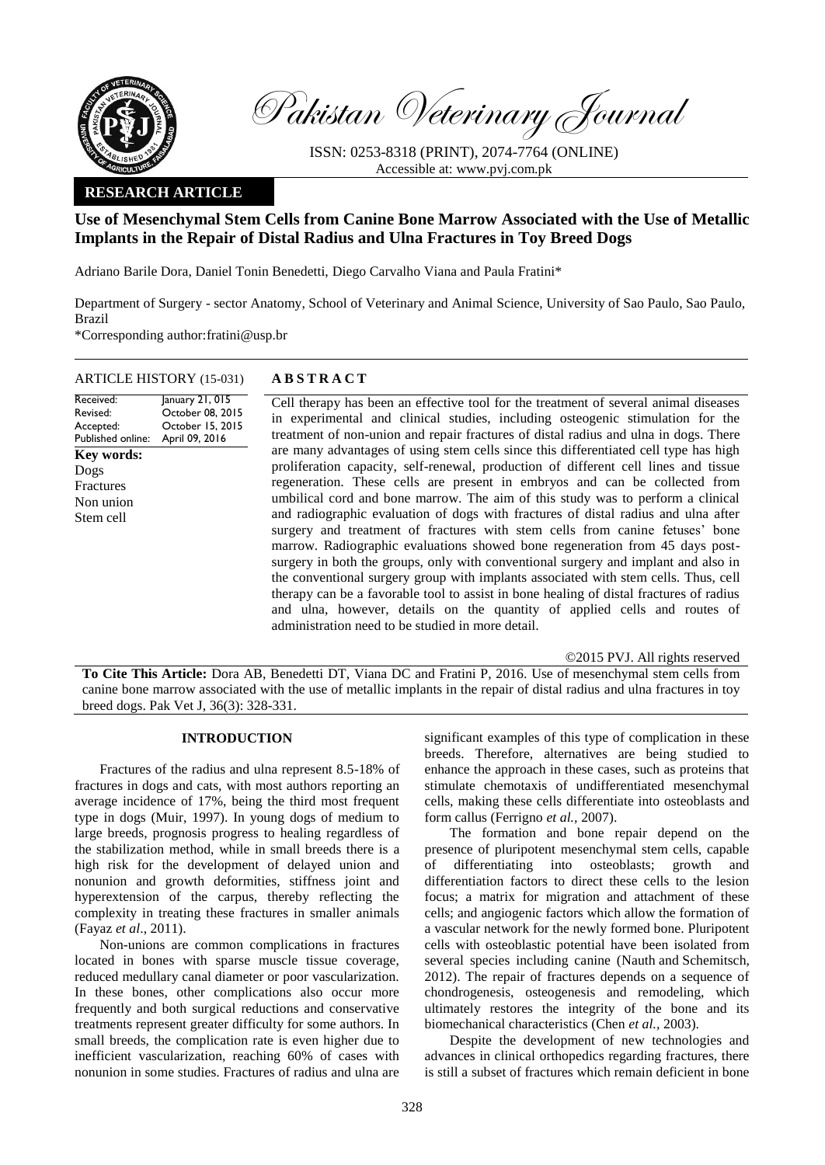

Pakistan Veterinary Journal

ISSN: 0253-8318 (PRINT), 2074-7764 (ONLINE) Accessible at: [www.pvj.com.pk](http://www.pvj.com.pk/)

## **RESEARCH ARTICLE**

# **Use of Mesenchymal Stem Cells from Canine Bone Marrow Associated with the Use of Metallic Implants in the Repair of Distal Radius and Ulna Fractures in Toy Breed Dogs**

Adriano Barile Dora, Daniel Tonin Benedetti, Diego Carvalho Viana and Paula Fratini\*

Department of Surgery - sector Anatomy, School of Veterinary and Animal Science, University of Sao Paulo, Sao Paulo, Brazil

\*Corresponding author:fratini@usp.br

### ARTICLE HISTORY (15-031) **A B S T R A C T**

## Received: Revised: Accepted: Published online: January 21, 015 October 08, 2015 October 15, 2015 April 09, 2016 **Key words:**  Dogs Fractures Non union Stem cell

Cell therapy has been an effective tool for the treatment of several animal diseases in experimental and clinical studies, including osteogenic stimulation for the treatment of non-union and repair fractures of distal radius and ulna in dogs. There are many advantages of using stem cells since this differentiated cell type has high proliferation capacity, self-renewal, production of different cell lines and tissue regeneration. These cells are present in embryos and can be collected from umbilical cord and bone marrow. The aim of this study was to perform a clinical and radiographic evaluation of dogs with fractures of distal radius and ulna after surgery and treatment of fractures with stem cells from canine fetuses' bone marrow. Radiographic evaluations showed bone regeneration from 45 days postsurgery in both the groups, only with conventional surgery and implant and also in the conventional surgery group with implants associated with stem cells. Thus, cell therapy can be a favorable tool to assist in bone healing of distal fractures of radius and ulna, however, details on the quantity of applied cells and routes of administration need to be studied in more detail.

©2015 PVJ. All rights reserved

**To Cite This Article:** Dora AB, Benedetti DT, Viana DC and Fratini P, 2016. Use of mesenchymal stem cells from canine bone marrow associated with the use of metallic implants in the repair of distal radius and ulna fractures in toy breed dogs. Pak Vet J, 36(3): 328-331.

### **INTRODUCTION**

Fractures of the radius and ulna represent 8.5-18% of fractures in dogs and cats, with most authors reporting an average incidence of 17%, being the third most frequent type in dogs (Muir, 1997). In young dogs of medium to large breeds, prognosis progress to healing regardless of the stabilization method, while in small breeds there is a high risk for the development of delayed union and nonunion and growth deformities, stiffness joint and hyperextension of the carpus, thereby reflecting the complexity in treating these fractures in smaller animals (Fayaz *et al*., 2011).

Non-unions are common complications in fractures located in bones with sparse muscle tissue coverage, reduced medullary canal diameter or poor vascularization. In these bones, other complications also occur more frequently and both surgical reductions and conservative treatments represent greater difficulty for some authors. In small breeds, the complication rate is even higher due to inefficient vascularization, reaching 60% of cases with nonunion in some studies. Fractures of radius and ulna are

significant examples of this type of complication in these breeds. Therefore, alternatives are being studied to enhance the approach in these cases, such as proteins that stimulate chemotaxis of undifferentiated mesenchymal cells, making these cells differentiate into osteoblasts and form callus (Ferrigno *et al.,* 2007).

The formation and bone repair depend on the presence of pluripotent mesenchymal stem cells, capable of differentiating into osteoblasts; growth and differentiation factors to direct these cells to the lesion focus; a matrix for migration and attachment of these cells; and angiogenic factors which allow the formation of a vascular network for the newly formed bone. Pluripotent cells with osteoblastic potential have been isolated from several species including canine [\(Nauth](http://www.ncbi.nlm.nih.gov/pubmed/?term=Nauth%20A%5Bauth%5D) and [Schemitsch,](http://www.ncbi.nlm.nih.gov/pubmed/?term=Schemitsch%20EH%5Bauth%5D) 2012). The repair of fractures depends on a sequence of chondrogenesis, osteogenesis and remodeling, which ultimately restores the integrity of the bone and its biomechanical characteristics (Chen *et al.,* 2003).

Despite the development of new technologies and advances in clinical orthopedics regarding fractures, there is still a subset of fractures which remain deficient in bone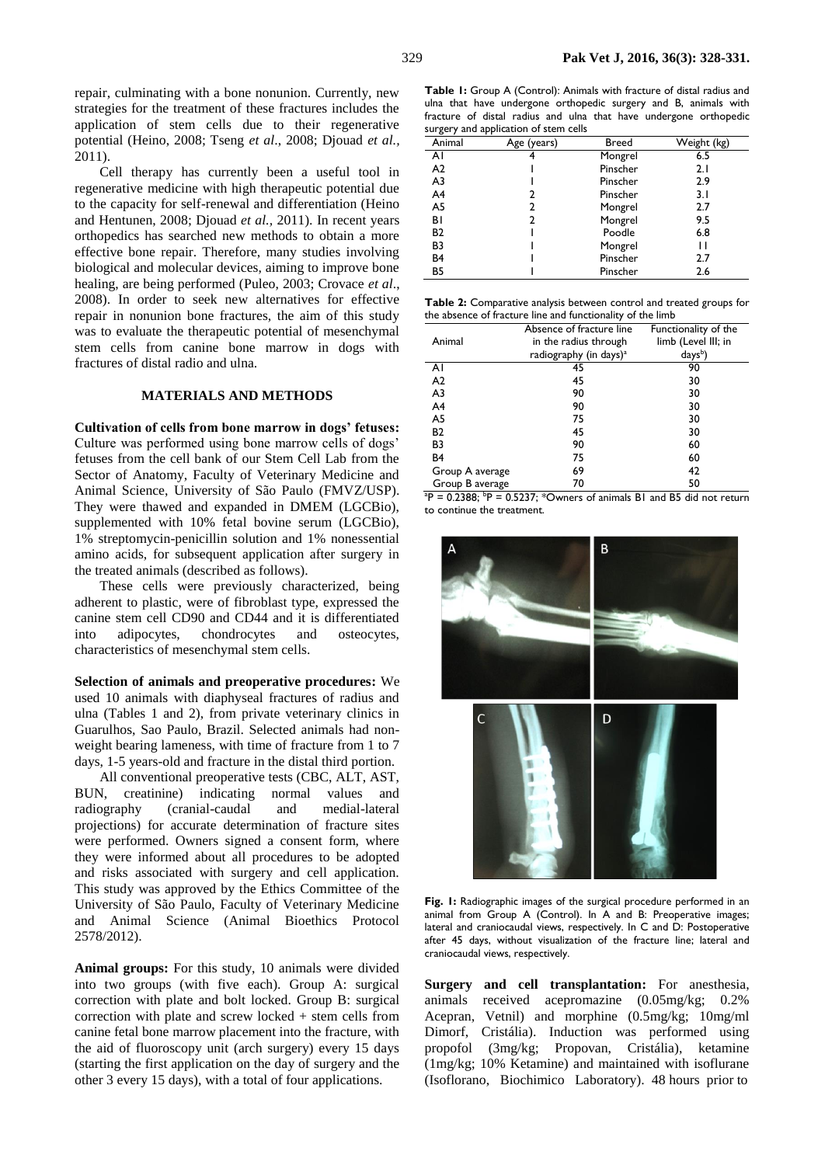repair, culminating with a bone nonunion. Currently, new strategies for the treatment of these fractures includes the application of stem cells due to their regenerative potential (Heino, 2008; Tseng *et al*., 2008; Djouad *et al.,* 2011).

Cell therapy has currently been a useful tool in regenerative medicine with high therapeutic potential due to the capacity for self-renewal and differentiation (Heino and Hentunen, 2008; Djouad *et al.,* 2011). In recent years orthopedics has searched new methods to obtain a more effective bone repair. Therefore, many studies involving biological and molecular devices, aiming to improve bone healing, are being performed (Puleo, 2003; Crovace *et al*., 2008). In order to seek new alternatives for effective repair in nonunion bone fractures, the aim of this study was to evaluate the therapeutic potential of mesenchymal stem cells from canine bone marrow in dogs with fractures of distal radio and ulna.

#### **MATERIALS AND METHODS**

**Cultivation of cells from bone marrow in dogs' fetuses:**  Culture was performed using bone marrow cells of dogs' fetuses from the cell bank of our Stem Cell Lab from the Sector of Anatomy, Faculty of Veterinary Medicine and Animal Science, University of São Paulo (FMVZ/USP). They were thawed and expanded in DMEM (LGCBio), supplemented with 10% fetal bovine serum (LGCBio), 1% streptomycin-penicillin solution and 1% nonessential amino acids, for subsequent application after surgery in the treated animals (described as follows).

These cells were previously characterized, being adherent to plastic, were of fibroblast type, expressed the canine stem cell CD90 and CD44 and it is differentiated into adipocytes, chondrocytes and osteocytes, characteristics of mesenchymal stem cells.

**Selection of animals and preoperative procedures:** We used 10 animals with diaphyseal fractures of radius and ulna (Tables 1 and 2), from private veterinary clinics in Guarulhos, Sao Paulo, Brazil. Selected animals had nonweight bearing lameness, with time of fracture from 1 to 7 days, 1-5 years-old and fracture in the distal third portion.

All conventional preoperative tests (CBC, ALT, AST, BUN, creatinine) indicating normal values and radiography (cranial-caudal and medial-lateral projections) for accurate determination of fracture sites were performed. Owners signed a consent form, where they were informed about all procedures to be adopted and risks associated with surgery and cell application. This study was approved by the Ethics Committee of the University of São Paulo, Faculty of Veterinary Medicine and Animal Science (Animal Bioethics Protocol 2578/2012).

**Animal groups:** For this study, 10 animals were divided into two groups (with five each). Group A: surgical correction with plate and bolt locked. Group B: surgical correction with plate and screw locked + stem cells from canine fetal bone marrow placement into the fracture, with the aid of fluoroscopy unit (arch surgery) every 15 days (starting the first application on the day of surgery and the other 3 every 15 days), with a total of four applications.

**Table 1:** Group A (Control): Animals with fracture of distal radius and ulna that have undergone orthopedic surgery and B, animals with fracture of distal radius and ulna that have undergone orthopedic surgery and application of stem cells

| Animal         | Age (years) | Breed    | Weight (kg) |
|----------------|-------------|----------|-------------|
| ΑI             |             | Mongrel  | 6.5         |
| A <sub>2</sub> |             | Pinscher | 2.1         |
| A <sub>3</sub> |             | Pinscher | 2.9         |
| A <sub>4</sub> | 2           | Pinscher | 3.I         |
| A5             | 2           | Mongrel  | 2.7         |
| ΒI             | 2           | Mongrel  | 9.5         |
| <b>B2</b>      |             | Poodle   | 6.8         |
| B <sub>3</sub> |             | Mongrel  | П           |
| B <sub>4</sub> |             | Pinscher | 2.7         |
| <b>B5</b>      |             | Pinscher | 2.6         |

**Table 2:** Comparative analysis between control and treated groups for the absence of fracture line and functionality of the limb

|                 | Absence of fracture line           | Functionality of the |  |
|-----------------|------------------------------------|----------------------|--|
| Animal          | in the radius through              | limb (Level III; in  |  |
|                 | radiography (in days) <sup>a</sup> | days <sup>b</sup> )  |  |
| ΑI              | 45                                 | 90                   |  |
| A <sub>2</sub>  | 45                                 | 30                   |  |
| A <sub>3</sub>  | 90                                 | 30                   |  |
| A <sub>4</sub>  | 90                                 | 30                   |  |
| A5              | 75                                 | 30                   |  |
| <b>B2</b>       | 45                                 | 30                   |  |
| B <sub>3</sub>  | 90                                 | 60                   |  |
| B <sub>4</sub>  | 75                                 | 60                   |  |
| Group A average | 69                                 | 42                   |  |
| Group B average | 70                                 | 50                   |  |
|                 |                                    |                      |  |

 $aP = 0.2388$ ;  $bP = 0.5237$ ; \*Owners of animals B1 and B5 did not return to continue the treatment.



Fig. 1: Radiographic images of the surgical procedure performed in an animal from Group A (Control). In A and B: Preoperative images; lateral and craniocaudal views, respectively. In C and D: Postoperative after 45 days, without visualization of the fracture line; lateral and craniocaudal views, respectively.

**Surgery and cell transplantation:** For anesthesia, animals received acepromazine (0.05mg/kg; 0.2% Acepran, Vetnil) and morphine (0.5mg/kg; 10mg/ml Dimorf, Cristália). Induction was performed using propofol (3mg/kg; Propovan, Cristália), ketamine (1mg/kg; 10% Ketamine) and maintained with isoflurane (Isoflorano, Biochimico Laboratory). 48 hours prior to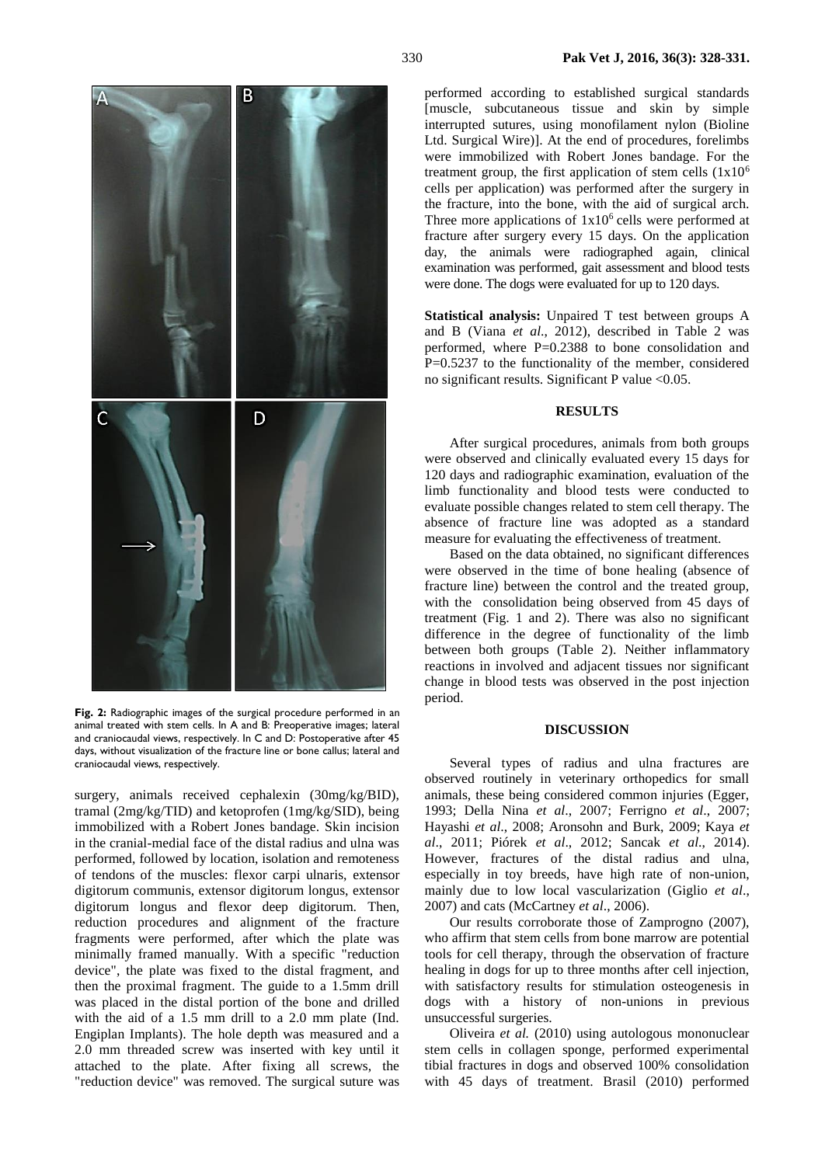

**Fig. 2:** Radiographic images of the surgical procedure performed in an animal treated with stem cells. In A and B: Preoperative images; lateral and craniocaudal views, respectively. In C and D: Postoperative after 45 days, without visualization of the fracture line or bone callus; lateral and craniocaudal views, respectively.

surgery, animals received cephalexin (30mg/kg/BID), tramal (2mg/kg/TID) and ketoprofen (1mg/kg/SID), being immobilized with a Robert Jones bandage. Skin incision in the cranial-medial face of the distal radius and ulna was performed, followed by location, isolation and remoteness of tendons of the muscles: flexor carpi ulnaris, extensor digitorum communis, extensor digitorum longus, extensor digitorum longus and flexor deep digitorum. Then, reduction procedures and alignment of the fracture fragments were performed, after which the plate was minimally framed manually. With a specific "reduction device", the plate was fixed to the distal fragment, and then the proximal fragment. The guide to a 1.5mm drill was placed in the distal portion of the bone and drilled with the aid of a 1.5 mm drill to a 2.0 mm plate (Ind. Engiplan Implants). The hole depth was measured and a 2.0 mm threaded screw was inserted with key until it attached to the plate. After fixing all screws, the "reduction device" was removed. The surgical suture was

performed according to established surgical standards [muscle, subcutaneous tissue and skin by simple interrupted sutures, using monofilament nylon (Bioline Ltd. Surgical Wire)]. At the end of procedures, forelimbs were immobilized with Robert Jones bandage. For the treatment group, the first application of stem cells  $(1x10<sup>6</sup>)$ cells per application) was performed after the surgery in the fracture, into the bone, with the aid of surgical arch. Three more applications of  $1x10<sup>6</sup>$  cells were performed at fracture after surgery every 15 days. On the application day, the animals were radiographed again, clinical examination was performed, gait assessment and blood tests were done. The dogs were evaluated for up to 120 days.

**Statistical analysis:** Unpaired T test between groups A and B (Viana *et al*., 2012), described in Table 2 was performed, where P=0.2388 to bone consolidation and P=0.5237 to the functionality of the member, considered no significant results. Significant P value <0.05.

#### **RESULTS**

After surgical procedures, animals from both groups were observed and clinically evaluated every 15 days for 120 days and radiographic examination, evaluation of the limb functionality and blood tests were conducted to evaluate possible changes related to stem cell therapy. The absence of fracture line was adopted as a standard measure for evaluating the effectiveness of treatment.

Based on the data obtained, no significant differences were observed in the time of bone healing (absence of fracture line) between the control and the treated group, with the consolidation being observed from 45 days of treatment (Fig. 1 and 2). There was also no significant difference in the degree of functionality of the limb between both groups (Table 2). Neither inflammatory reactions in involved and adjacent tissues nor significant change in blood tests was observed in the post injection period.

#### **DISCUSSION**

Several types of radius and ulna fractures are observed routinely in veterinary orthopedics for small animals, these being considered common injuries (Egger, 1993; Della Nina *et al*., 2007; Ferrigno *et al*., 2007; Hayashi *et al*., 2008; Aronsohn and Burk, 2009; Kaya *et al*., 2011; Piórek *et al*., 2012; Sancak *et al*., 2014). However, fractures of the distal radius and ulna, especially in toy breeds, have high rate of non-union, mainly due to low local vascularization (Giglio *et al*., 2007) and cats (McCartney *et al*., 2006).

Our results corroborate those of Zamprogno (2007), who affirm that stem cells from bone marrow are potential tools for cell therapy, through the observation of fracture healing in dogs for up to three months after cell injection, with satisfactory results for stimulation osteogenesis in dogs with a history of non-unions in previous unsuccessful surgeries.

Oliveira *et al.* (2010) using autologous mononuclear stem cells in collagen sponge, performed experimental tibial fractures in dogs and observed 100% consolidation with 45 days of treatment. Brasil (2010) performed